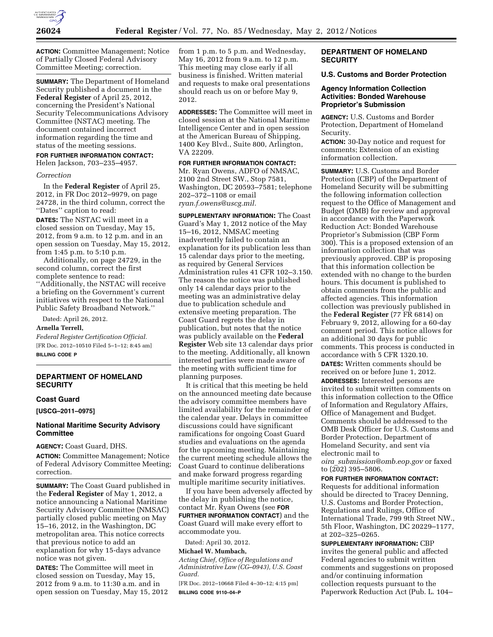

**ACTION:** Committee Management; Notice of Partially Closed Federal Advisory Committee Meeting; correction.

**SUMMARY:** The Department of Homeland Security published a document in the **Federal Register** of April 25, 2012, concerning the President's National Security Telecommunications Advisory Committee (NSTAC) meeting. The document contained incorrect information regarding the time and status of the meeting sessions.

**FOR FURTHER INFORMATION CONTACT:** 

Helen Jackson, 703–235–4957.

### *Correction*

In the **Federal Register** of April 25, 2012, in FR Doc 2012–9979, on page 24728, in the third column, correct the ''Dates'' caption to read:

**DATES:** The NSTAC will meet in a closed session on Tuesday, May 15, 2012, from 9 a.m. to 12 p.m. and in an open session on Tuesday, May 15, 2012, from 1:45 p.m. to 5:10 p.m.

Additionally, on page 24729, in the second column, correct the first complete sentence to read: ''Additionally, the NSTAC will receive a briefing on the Government's current initiatives with respect to the National Public Safety Broadband Network.''

Dated: April 26, 2012.

**Arnella Terrell,** 

*Federal Register Certification Official.*  [FR Doc. 2012–10510 Filed 5–1–12; 8:45 am] **BILLING CODE P** 

# **DEPARTMENT OF HOMELAND SECURITY**

#### **Coast Guard**

**[USCG–2011–0975]** 

## **National Maritime Security Advisory Committee**

**AGENCY:** Coast Guard, DHS.

**ACTION:** Committee Management; Notice of Federal Advisory Committee Meeting; correction.

**SUMMARY:** The Coast Guard published in the **Federal Register** of May 1, 2012, a notice announcing a National Maritime Security Advisory Committee (NMSAC) partially closed public meeting on May 15–16, 2012, in the Washington, DC metropolitan area. This notice corrects that previous notice to add an explanation for why 15-days advance notice was not given.

**DATES:** The Committee will meet in closed session on Tuesday, May 15, 2012 from 9 a.m. to 11:30 a.m. and in open session on Tuesday, May 15, 2012 from 1 p.m. to 5 p.m. and Wednesday, May 16, 2012 from 9 a.m. to 12 p.m. This meeting may close early if all business is finished. Written material and requests to make oral presentations should reach us on or before May 9, 2012.

**ADDRESSES:** The Committee will meet in closed session at the National Maritime Intelligence Center and in open session at the American Bureau of Shipping, 1400 Key Blvd., Suite 800, Arlington, VA 22209.

### **FOR FURTHER INFORMATION CONTACT:**

Mr. Ryan Owens, ADFO of NMSAC, 2100 2nd Street SW., Stop 7581, Washington, DC 20593–7581; telephone 202–372–1108 or email *[ryan.f.owens@uscg.mil.](mailto:ryan.f.owens@uscg.mil)* 

**SUPPLEMENTARY INFORMATION:** The Coast Guard's May 1, 2012 notice of the May 15–16, 2012, NMSAC meeting inadvertently failed to contain an explanation for its publication less than 15 calendar days prior to the meeting, as required by General Services Administration rules 41 CFR 102–3.150. The reason the notice was published only 14 calendar days prior to the meeting was an administrative delay due to publication schedule and extensive meeting preparation. The Coast Guard regrets the delay in publication, but notes that the notice was publicly available on the **Federal Register** Web site 13 calendar days prior to the meeting. Additionally, all known interested parties were made aware of the meeting with sufficient time for planning purposes.

It is critical that this meeting be held on the announced meeting date because the advisory committee members have limited availability for the remainder of the calendar year. Delays in committee discussions could have significant ramifications for ongoing Coast Guard studies and evaluations on the agenda for the upcoming meeting. Maintaining the current meeting schedule allows the Coast Guard to continue deliberations and make forward progress regarding multiple maritime security initiatives.

If you have been adversely affected by the delay in publishing the notice, contact Mr. Ryan Owens (see **FOR FURTHER INFORMATION CONTACT**) and the Coast Guard will make every effort to accommodate you.

Dated: April 30, 2012.

#### **Michael W. Mumbach,**

*Acting Chief, Office of Regulations and Administrative Law (CG–0943), U.S. Coast Guard.* 

[FR Doc. 2012–10668 Filed 4–30–12; 4:15 pm] **BILLING CODE 9110–04–P** 

## **DEPARTMENT OF HOMELAND SECURITY**

### **U.S. Customs and Border Protection**

### **Agency Information Collection Activities: Bonded Warehouse Proprietor's Submission**

**AGENCY:** U.S. Customs and Border Protection, Department of Homeland Security.

**ACTION:** 30-Day notice and request for comments; Extension of an existing information collection.

**SUMMARY:** U.S. Customs and Border Protection (CBP) of the Department of Homeland Security will be submitting the following information collection request to the Office of Management and Budget (OMB) for review and approval in accordance with the Paperwork Reduction Act: Bonded Warehouse Proprietor's Submission (CBP Form 300). This is a proposed extension of an information collection that was previously approved. CBP is proposing that this information collection be extended with no change to the burden hours. This document is published to obtain comments from the public and affected agencies. This information collection was previously published in the **Federal Register** (77 FR 6814) on February 9, 2012, allowing for a 60-day comment period. This notice allows for an additional 30 days for public comments. This process is conducted in accordance with 5 CFR 1320.10. **DATES:** Written comments should be received on or before June 1, 2012. **ADDRESSES:** Interested persons are invited to submit written comments on this information collection to the Office of Information and Regulatory Affairs, Office of Management and Budget. Comments should be addressed to the OMB Desk Officer for U.S. Customs and Border Protection, Department of Homeland Security, and sent via electronic mail to

*oira*\_*[submission@omb.eop.gov](mailto:oira_submission@omb.eop.gov)* or faxed to (202) 395–5806.

# **FOR FURTHER INFORMATION CONTACT:**

Requests for additional information should be directed to Tracey Denning, U.S. Customs and Border Protection, Regulations and Rulings, Office of International Trade, 799 9th Street NW., 5th Floor, Washington, DC 20229–1177, at 202–325–0265.

**SUPPLEMENTARY INFORMATION:** CBP invites the general public and affected Federal agencies to submit written comments and suggestions on proposed and/or continuing information collection requests pursuant to the Paperwork Reduction Act (Pub. L. 104–